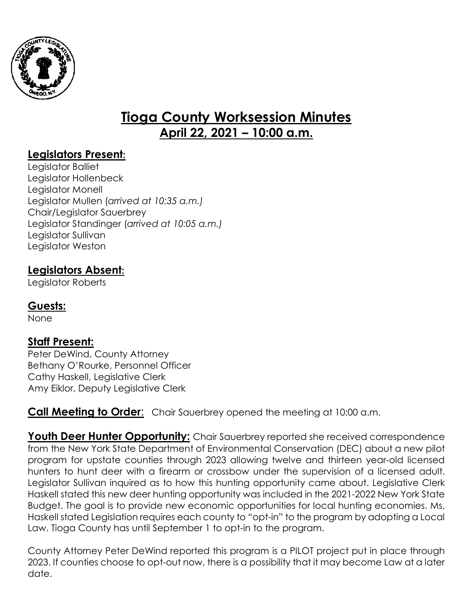

# **Tioga County Worksession Minutes April 22, 2021 – 10:00 a.m.**

## **Legislators Present:**

Legislator Balliet Legislator Hollenbeck Legislator Monell Legislator Mullen (*arrived at 10:35 a.m.)* Chair/Legislator Sauerbrey Legislator Standinger (*arrived at 10:05 a.m.)* Legislator Sullivan Legislator Weston

## **Legislators Absent:**

Legislator Roberts

#### **Guests:**

None

### **Staff Present:**

Peter DeWind, County Attorney Bethany O'Rourke, Personnel Officer Cathy Haskell, Legislative Clerk Amy Eiklor, Deputy Legislative Clerk

**Call Meeting to Order:** Chair Sauerbrey opened the meeting at 10:00 a.m.

**Youth Deer Hunter Opportunity:** Chair Sauerbrey reported she received correspondence from the New York State Department of Environmental Conservation (DEC) about a new pilot program for upstate counties through 2023 allowing twelve and thirteen year-old licensed hunters to hunt deer with a firearm or crossbow under the supervision of a licensed adult. Legislator Sullivan inquired as to how this hunting opportunity came about. Legislative Clerk Haskell stated this new deer hunting opportunity was included in the 2021-2022 New York State Budget. The goal is to provide new economic opportunities for local hunting economies. Ms. Haskell stated Legislation requires each county to "opt-in" to the program by adopting a Local Law. Tioga County has until September 1 to opt-in to the program.

County Attorney Peter DeWind reported this program is a PILOT project put in place through 2023. If counties choose to opt-out now, there is a possibility that it may become Law at a later date.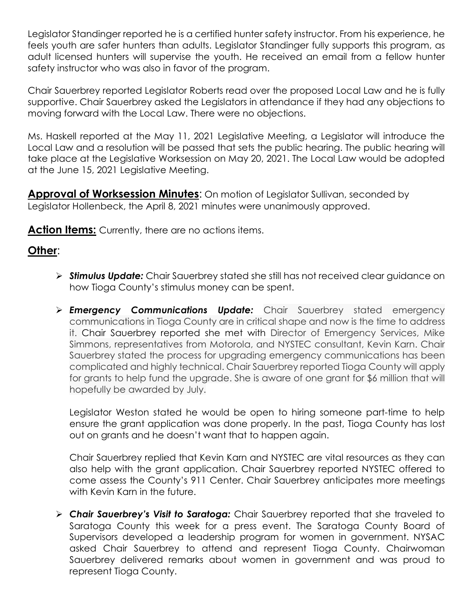Legislator Standinger reported he is a certified hunter safety instructor. From his experience, he feels youth are safer hunters than adults. Legislator Standinger fully supports this program, as adult licensed hunters will supervise the youth. He received an email from a fellow hunter safety instructor who was also in favor of the program.

Chair Sauerbrey reported Legislator Roberts read over the proposed Local Law and he is fully supportive. Chair Sauerbrey asked the Legislators in attendance if they had any objections to moving forward with the Local Law. There were no objections.

Ms. Haskell reported at the May 11, 2021 Legislative Meeting, a Legislator will introduce the Local Law and a resolution will be passed that sets the public hearing. The public hearing will take place at the Legislative Worksession on May 20, 2021. The Local Law would be adopted at the June 15, 2021 Legislative Meeting.

**Approval of Worksession Minutes**: On motion of Legislator Sullivan, seconded by Legislator Hollenbeck, the April 8, 2021 minutes were unanimously approved.

**Action Items:** Currently, there are no actions items.

#### **Other**:

- *Stimulus Update:* Chair Sauerbrey stated she still has not received clear guidance on how Tioga County's stimulus money can be spent.
- *Emergency Communications Update:* Chair Sauerbrey stated emergency communications in Tioga County are in critical shape and now is the time to address it. Chair Sauerbrey reported she met with Director of Emergency Services, Mike Simmons, representatives from Motorola, and NYSTEC consultant, Kevin Karn. Chair Sauerbrey stated the process for upgrading emergency communications has been complicated and highly technical. Chair Sauerbrey reported Tioga County will apply for grants to help fund the upgrade. She is aware of one grant for \$6 million that will hopefully be awarded by July.

Legislator Weston stated he would be open to hiring someone part-time to help ensure the grant application was done properly. In the past, Tioga County has lost out on grants and he doesn't want that to happen again.

Chair Sauerbrey replied that Kevin Karn and NYSTEC are vital resources as they can also help with the grant application. Chair Sauerbrey reported NYSTEC offered to come assess the County's 911 Center. Chair Sauerbrey anticipates more meetings with Kevin Karn in the future.

 *Chair Sauerbrey's Visit to Saratoga:* Chair Sauerbrey reported that she traveled to Saratoga County this week for a press event. The Saratoga County Board of Supervisors developed a leadership program for women in government. NYSAC asked Chair Sauerbrey to attend and represent Tioga County. Chairwoman Sauerbrey delivered remarks about women in government and was proud to represent Tioga County.